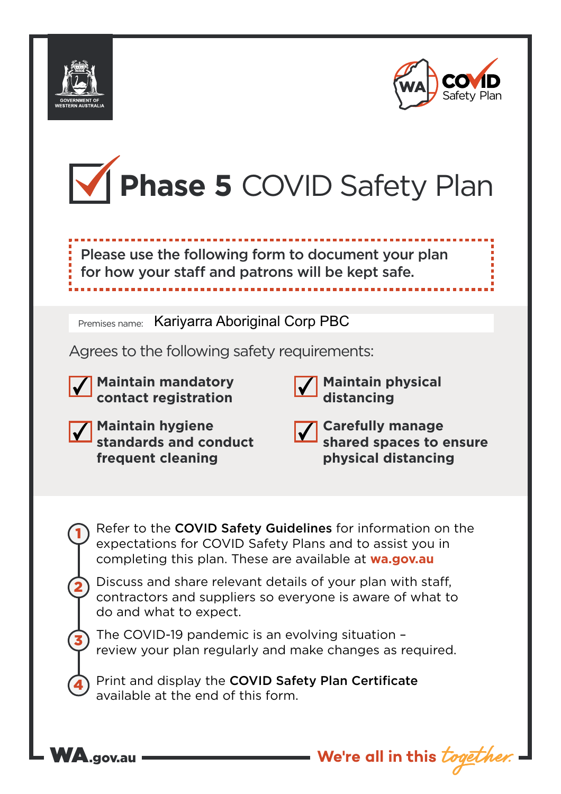



I I I I I I



 $\mathbf \frac{1}{2}$  Please use the following form to document your plan  $\mathbf \frac{1}{2}$ for how your staff and patrons will be kept safe. •••••••••••••••••••••••••••••••••••••••••••••••••••••••••••••••••••• I I I I I I ••••••••••••••••••••••••••••••••••••••••••••••••••••••••••••••••••••

Premises name: Kariyarra Aboriginal Corp PBC

Agrees to the following safety requirements:





**Maintain physical distancing**

**We're all in this** *togeth* 

| Maintain hygiene<br>Standards and conduct |  |  |  |  |
|-------------------------------------------|--|--|--|--|
|                                           |  |  |  |  |
| frequent cleaning                         |  |  |  |  |

|  |  | and the state of the state of the state of the state of the state of the state of the state of the state of th<br>and the state of the state of the state of the state of the state of the state of the state of the state of th |
|--|--|----------------------------------------------------------------------------------------------------------------------------------------------------------------------------------------------------------------------------------|
|--|--|----------------------------------------------------------------------------------------------------------------------------------------------------------------------------------------------------------------------------------|

**Carefully manage shared spaces to ensure physical distancing**

Refer to the COVID Safety Guidelines for information on the expectations for COVID Safety Plans and to assist you in completing this plan. These are available at **wa.gov.au**

Discuss and share relevant details of your plan with staff, contractors and suppliers so everyone is aware of what to do and what to expect.

The COVID-19 pandemic is an evolving situation – review your plan regularly and make changes as required.

Print and display the COVID Safety Plan Certificate available at the end of this form.



1

2

3

4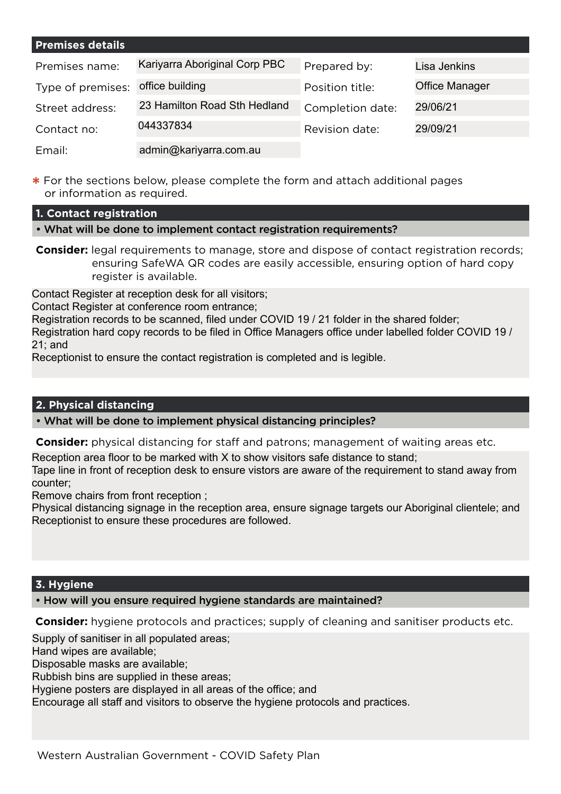| <b>Premises details</b> |                               |                  |                       |
|-------------------------|-------------------------------|------------------|-----------------------|
| Premises name:          | Kariyarra Aboriginal Corp PBC | Prepared by:     | Lisa Jenkins          |
| Type of premises:       | office building               | Position title:  | <b>Office Manager</b> |
| Street address:         | 23 Hamilton Road Sth Hedland  | Completion date: | 29/06/21              |
| Contact no:             | 044337834                     | Revision date:   | 29/09/21              |
| Email:                  | admin@kariyarra.com.au        |                  |                       |

**\*** For the sections below, please complete the form and attach additional pages or information as required.

### **1. Contact registration**

- What will be done to implement contact registration requirements?
- **Consider:** legal requirements to manage, store and dispose of contact registration records; ensuring SafeWA QR codes are easily accessible, ensuring option of hard copy register is available.

Contact Register at reception desk for all visitors;

Contact Register at conference room entrance;

Registration records to be scanned, filed under COVID 19 / 21 folder in the shared folder;

Registration hard copy records to be filed in Office Managers office under labelled folder COVID 19 / 21; and

Receptionist to ensure the contact registration is completed and is legible.

# **2. Physical distancing**

• What will be done to implement physical distancing principles?

**Consider:** physical distancing for staff and patrons; management of waiting areas etc.

Reception area floor to be marked with X to show visitors safe distance to stand;

Tape line in front of reception desk to ensure vistors are aware of the requirement to stand away from counter;

Remove chairs from front reception ;

Physical distancing signage in the reception area, ensure signage targets our Aboriginal clientele; and Receptionist to ensure these procedures are followed.

# **3. Hygiene**

# • How will you ensure required hygiene standards are maintained?

**Consider:** hygiene protocols and practices; supply of cleaning and sanitiser products etc.

Supply of sanitiser in all populated areas;

Hand wipes are available;

Disposable masks are available;

Rubbish bins are supplied in these areas;

Hygiene posters are displayed in all areas of the office; and

Encourage all staff and visitors to observe the hygiene protocols and practices.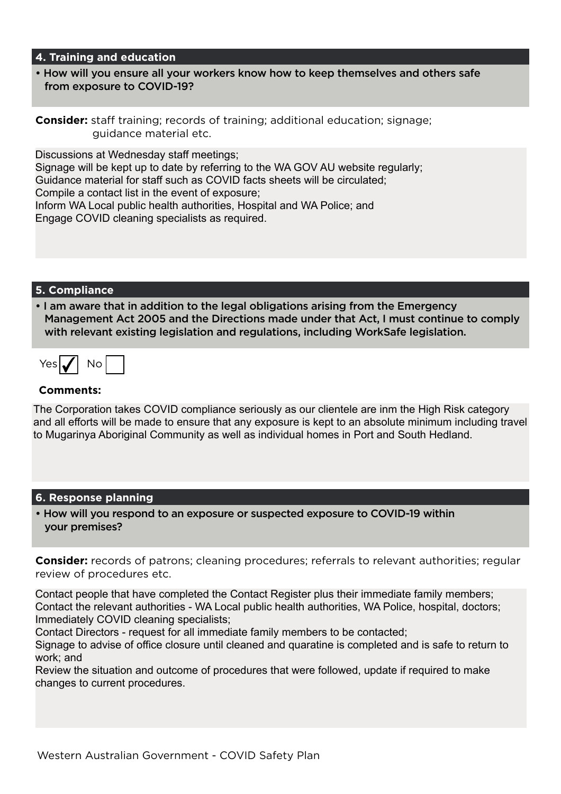#### **4. Training and education**

• How will you ensure all your workers know how to keep themselves and others safe from exposure to COVID-19?

**Consider:** staff training; records of training; additional education; signage; guidance material etc.

Discussions at Wednesday staff meetings; Signage will be kept up to date by referring to the WA GOV AU website regularly; Guidance material for staff such as COVID facts sheets will be circulated; Compile a contact list in the event of exposure; Inform WA Local public health authorities, Hospital and WA Police; and Engage COVID cleaning specialists as required.

#### **5. Compliance**

• I am aware that in addition to the legal obligations arising from the Emergency Management Act 2005 and the Directions made under that Act, I must continue to comply with relevant existing legislation and regulations, including WorkSafe legislation.

| $C$ . | וזו |  |
|-------|-----|--|
|       |     |  |

#### **Comments:**

The Corporation takes COVID compliance seriously as our clientele are inm the High Risk category and all efforts will be made to ensure that any exposure is kept to an absolute minimum including travel to Mugarinya Aboriginal Community as well as individual homes in Port and South Hedland.

#### **6. Response planning**

• How will you respond to an exposure or suspected exposure to COVID-19 within your premises?

**Consider:** records of patrons; cleaning procedures; referrals to relevant authorities; regular review of procedures etc.

Contact people that have completed the Contact Register plus their immediate family members; Contact the relevant authorities - WA Local public health authorities, WA Police, hospital, doctors; Immediately COVID cleaning specialists;

Contact Directors - request for all immediate family members to be contacted;

Signage to advise of office closure until cleaned and quaratine is completed and is safe to return to work; and

Review the situation and outcome of procedures that were followed, update if required to make changes to current procedures.